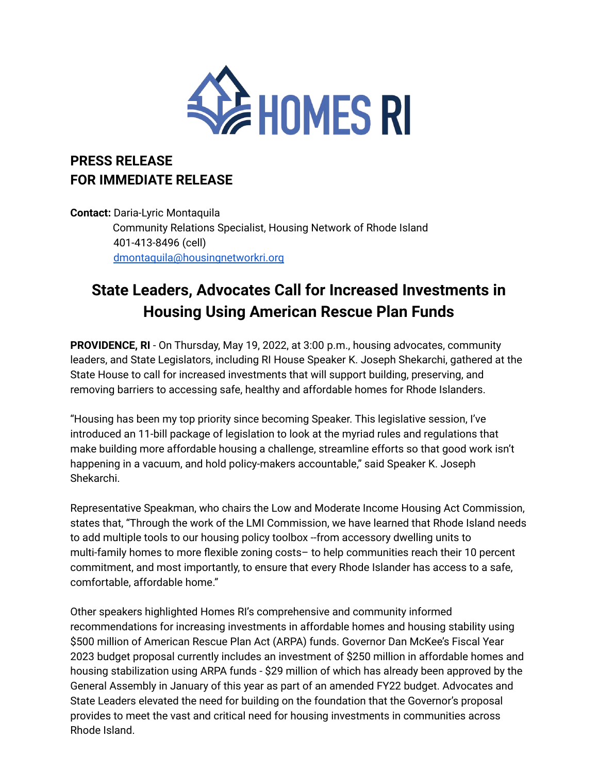

## **PRESS RELEASE FOR IMMEDIATE RELEASE**

**Contact:** Daria-Lyric Montaquila Community Relations Specialist, Housing Network of Rhode Island 401-413-8496 (cell) [dmontaquila@housingnetworkri.org](mailto:dmontaquila@housingnetworkri.org)

## **State Leaders, Advocates Call for Increased Investments in Housing Using American Rescue Plan Funds**

**PROVIDENCE, RI** - On Thursday, May 19, 2022, at 3:00 p.m., housing advocates, community leaders, and State Legislators, including RI House Speaker K. Joseph Shekarchi, gathered at the State House to call for increased investments that will support building, preserving, and removing barriers to accessing safe, healthy and affordable homes for Rhode Islanders.

"Housing has been my top priority since becoming Speaker. This legislative session, I've introduced an 11-bill package of legislation to look at the myriad rules and regulations that make building more affordable housing a challenge, streamline efforts so that good work isn't happening in a vacuum, and hold policy-makers accountable," said Speaker K. Joseph Shekarchi.

Representative Speakman, who chairs the Low and Moderate Income Housing Act Commission, states that, "Through the work of the LMI Commission, we have learned that Rhode Island needs to add multiple tools to our housing policy toolbox --from accessory dwelling units to multi-family homes to more flexible zoning costs– to help communities reach their 10 percent commitment, and most importantly, to ensure that every Rhode Islander has access to a safe, comfortable, affordable home."

Other speakers highlighted Homes RI's comprehensive and community informed recommendations for increasing investments in affordable homes and housing stability using \$500 million of American Rescue Plan Act (ARPA) funds. Governor Dan McKee's Fiscal Year 2023 budget proposal currently includes an investment of \$250 million in affordable homes and housing stabilization using ARPA funds - \$29 million of which has already been approved by the General Assembly in January of this year as part of an amended FY22 budget. Advocates and State Leaders elevated the need for building on the foundation that the Governor's proposal provides to meet the vast and critical need for housing investments in communities across Rhode Island.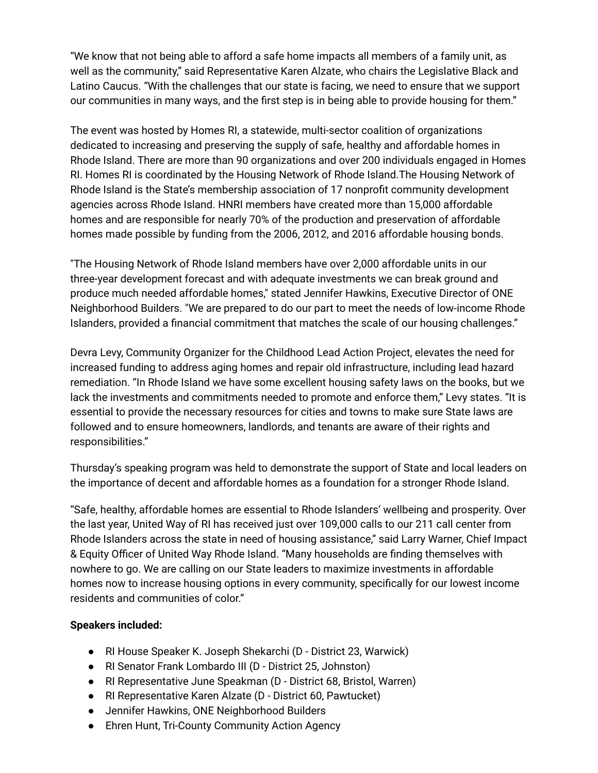"We know that not being able to afford a safe home impacts all members of a family unit, as well as the community," said Representative Karen Alzate, who chairs the Legislative Black and Latino Caucus. "With the challenges that our state is facing, we need to ensure that we support our communities in many ways, and the first step is in being able to provide housing for them."

The event was hosted by Homes RI, a statewide, multi-sector coalition of organizations dedicated to increasing and preserving the supply of safe, healthy and affordable homes in Rhode Island. There are more than 90 organizations and over 200 individuals engaged in Homes RI. Homes RI is coordinated by the Housing Network of Rhode Island.The Housing Network of Rhode Island is the State's membership association of 17 nonprofit community development agencies across Rhode Island. HNRI members have created more than 15,000 affordable homes and are responsible for nearly 70% of the production and preservation of affordable homes made possible by funding from the 2006, 2012, and 2016 affordable housing bonds.

"The Housing Network of Rhode Island members have over 2,000 affordable units in our three-year development forecast and with adequate investments we can break ground and produce much needed affordable homes," stated Jennifer Hawkins, Executive Director of ONE Neighborhood Builders. "We are prepared to do our part to meet the needs of low-income Rhode Islanders, provided a financial commitment that matches the scale of our housing challenges."

Devra Levy, Community Organizer for the Childhood Lead Action Project, elevates the need for increased funding to address aging homes and repair old infrastructure, including lead hazard remediation. "In Rhode Island we have some excellent housing safety laws on the books, but we lack the investments and commitments needed to promote and enforce them," Levy states. "It is essential to provide the necessary resources for cities and towns to make sure State laws are followed and to ensure homeowners, landlords, and tenants are aware of their rights and responsibilities."

Thursday's speaking program was held to demonstrate the support of State and local leaders on the importance of decent and affordable homes as a foundation for a stronger Rhode Island.

"Safe, healthy, affordable homes are essential to Rhode Islanders' wellbeing and prosperity. Over the last year, United Way of RI has received just over 109,000 calls to our 211 call center from Rhode Islanders across the state in need of housing assistance," said Larry Warner, Chief Impact & Equity Officer of United Way Rhode Island. "Many households are finding themselves with nowhere to go. We are calling on our State leaders to maximize investments in affordable homes now to increase housing options in every community, specifically for our lowest income residents and communities of color."

## **Speakers included:**

- RI House Speaker K. Joseph Shekarchi (D District 23, Warwick)
- RI Senator Frank Lombardo III (D District 25, Johnston)
- RI Representative June Speakman (D District 68, Bristol, Warren)
- RI Representative Karen Alzate (D District 60, Pawtucket)
- Jennifer Hawkins, ONE Neighborhood Builders
- Ehren Hunt, Tri-County Community Action Agency